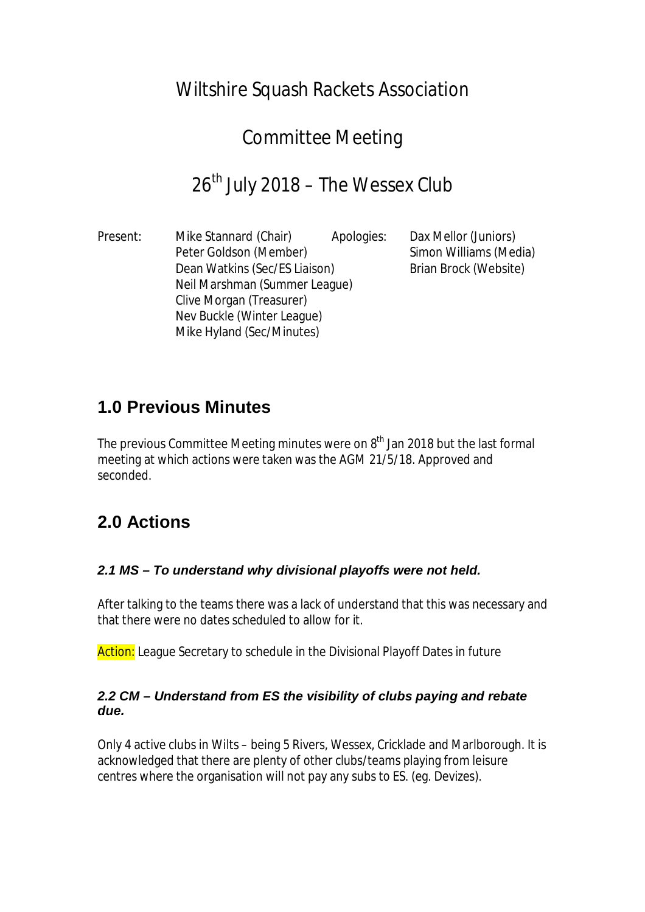## Wiltshire Squash Rackets Association

# Committee Meeting

# $26<sup>th</sup>$  July 2018 – The Wessex Club

Present: Mike Stannard (Chair) Apologies: Dax Mellor (Juniors) Peter Goldson (Member) Simon Williams (Media) Dean Watkins (Sec/ES Liaison) Brian Brock (Website) Neil Marshman (Summer League) Clive Morgan (Treasurer) Nev Buckle (Winter League) Mike Hyland (Sec/Minutes)

### **1.0 Previous Minutes**

The previous Committee Meeting minutes were on  $8<sup>th</sup>$  Jan 2018 but the last formal meeting at which actions were taken was the AGM 21/5/18. Approved and seconded.

### **2.0 Actions**

#### *2.1 MS – To understand why divisional playoffs were not held.*

After talking to the teams there was a lack of understand that this was necessary and that there were no dates scheduled to allow for it.

Action: League Secretary to schedule in the Divisional Playoff Dates in future

#### *2.2 CM – Understand from ES the visibility of clubs paying and rebate due.*

Only 4 active clubs in Wilts – being 5 Rivers, Wessex, Cricklade and Marlborough. It is acknowledged that there are plenty of other clubs/teams playing from leisure centres where the organisation will not pay any subs to ES. (eg. Devizes).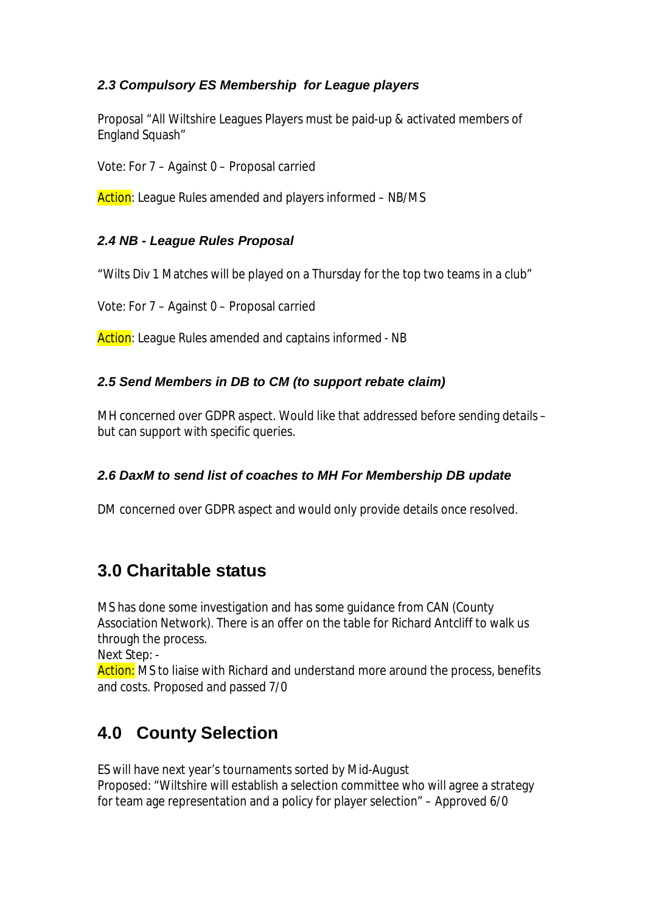#### *2.3 Compulsory ES Membership for League players*

Proposal "All Wiltshire Leagues Players must be paid-up & activated members of England Squash"

Vote: For 7 – Against 0 – Proposal carried

Action: League Rules amended and players informed – NB/MS

### *2.4 NB - League Rules Proposal*

"Wilts Div 1 Matches will be played on a Thursday for the top two teams in a club"

Vote: For 7 – Against 0 – Proposal carried

Action: League Rules amended and captains informed - NB

### *2.5 Send Members in DB to CM (to support rebate claim)*

MH concerned over GDPR aspect. Would like that addressed before sending details – but can support with specific queries.

#### *2.6 DaxM to send list of coaches to MH For Membership DB update*

DM concerned over GDPR aspect and would only provide details once resolved.

### **3.0 Charitable status**

MS has done some investigation and has some guidance from CAN (County Association Network). There is an offer on the table for Richard Antcliff to walk us through the process.

Next Step: -

Action: MS to liaise with Richard and understand more around the process, benefits and costs. Proposed and passed 7/0

## **4.0 County Selection**

ES will have next year's tournaments sorted by Mid-August Proposed: "Wiltshire will establish a selection committee who will agree a strategy for team age representation and a policy for player selection" – Approved 6/0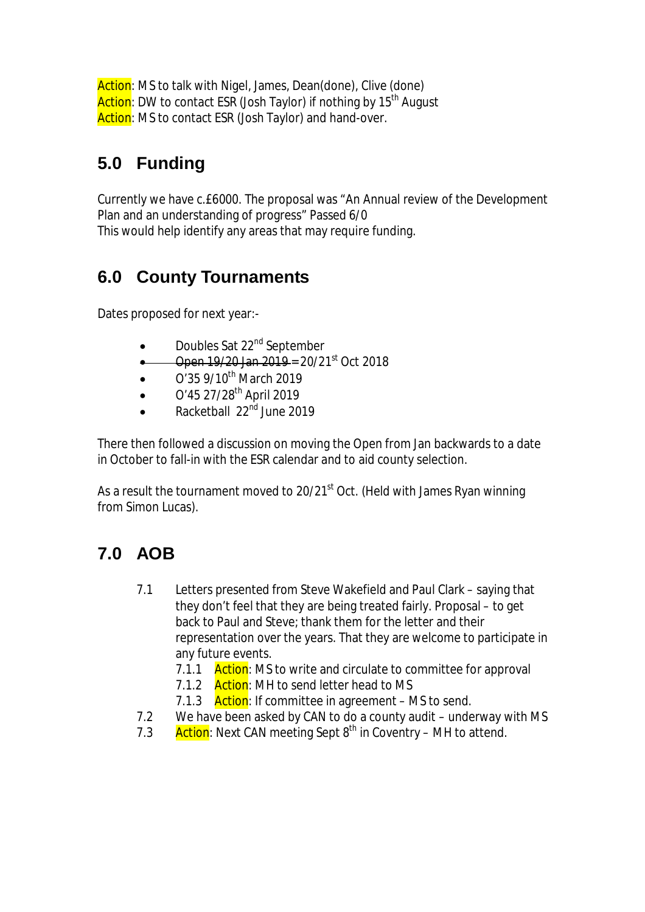Action: MS to talk with Nigel, James, Dean(done), Clive (done) Action: DW to contact ESR (Josh Taylor) if nothing by 15<sup>th</sup> August Action: MS to contact ESR (Josh Taylor) and hand-over.

# **5.0 Funding**

Currently we have c.£6000. The proposal was "An Annual review of the Development Plan and an understanding of progress" Passed 6/0 This would help identify any areas that may require funding.

### **6.0 County Tournaments**

Dates proposed for next year:-

- Doubles Sat 22<sup>nd</sup> September
- Open 19/20 Jan 2019 = 20/21st Oct 2018
- $O'35$  9/10<sup>th</sup> March 2019
- $\bullet$  O'45 27/28<sup>th</sup> April 2019
- Racketball 22nd June 2019

There then followed a discussion on moving the Open from Jan backwards to a date in October to fall-in with the ESR calendar and to aid county selection.

As a result the tournament moved to 20/21<sup>st</sup> Oct. (Held with James Ryan winning from Simon Lucas).

### **7.0 AOB**

- 7.1 Letters presented from Steve Wakefield and Paul Clark saying that they don't feel that they are being treated fairly. Proposal – to get back to Paul and Steve; thank them for the letter and their representation over the years. That they are welcome to participate in any future events.
	- 7.1.1 Action: MS to write and circulate to committee for approval
	- 7.1.2 Action: MH to send letter head to MS
	- 7.1.3 Action: If committee in agreement MS to send.
- 7.2 We have been asked by CAN to do a county audit underway with MS
- 7.3 Action: Next CAN meeting Sept  $8^{th}$  in Coventry MH to attend.